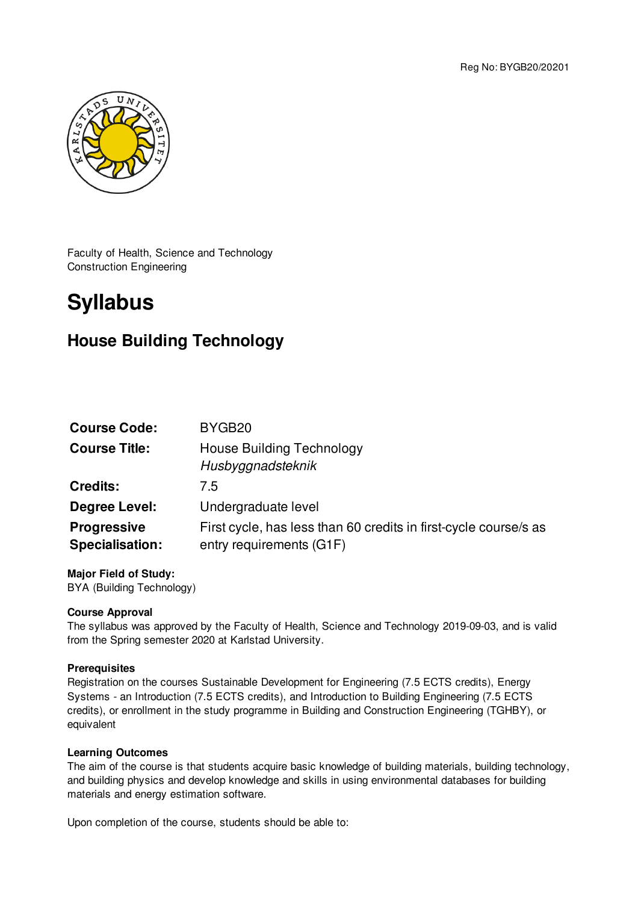Reg No: BYGB20/20201



Faculty of Health, Science and Technology Construction Engineering

# **Syllabus**

# **House Building Technology**

| BYGB <sub>20</sub>                                                                           |
|----------------------------------------------------------------------------------------------|
| <b>House Building Technology</b><br>Husbyggnadsteknik                                        |
| 7.5                                                                                          |
| Undergraduate level                                                                          |
| First cycle, has less than 60 credits in first-cycle course/s as<br>entry requirements (G1F) |
|                                                                                              |

**Major Field of Study:** BYA (Building Technology)

# **Course Approval**

The syllabus was approved by the Faculty of Health, Science and Technology 2019-09-03, and is valid from the Spring semester 2020 at Karlstad University.

## **Prerequisites**

Registration on the courses Sustainable Development for Engineering (7.5 ECTS credits), Energy Systems - an Introduction (7.5 ECTS credits), and Introduction to Building Engineering (7.5 ECTS credits), or enrollment in the study programme in Building and Construction Engineering (TGHBY), or equivalent

## **Learning Outcomes**

The aim of the course is that students acquire basic knowledge of building materials, building technology, and building physics and develop knowledge and skills in using environmental databases for building materials and energy estimation software.

Upon completion of the course, students should be able to: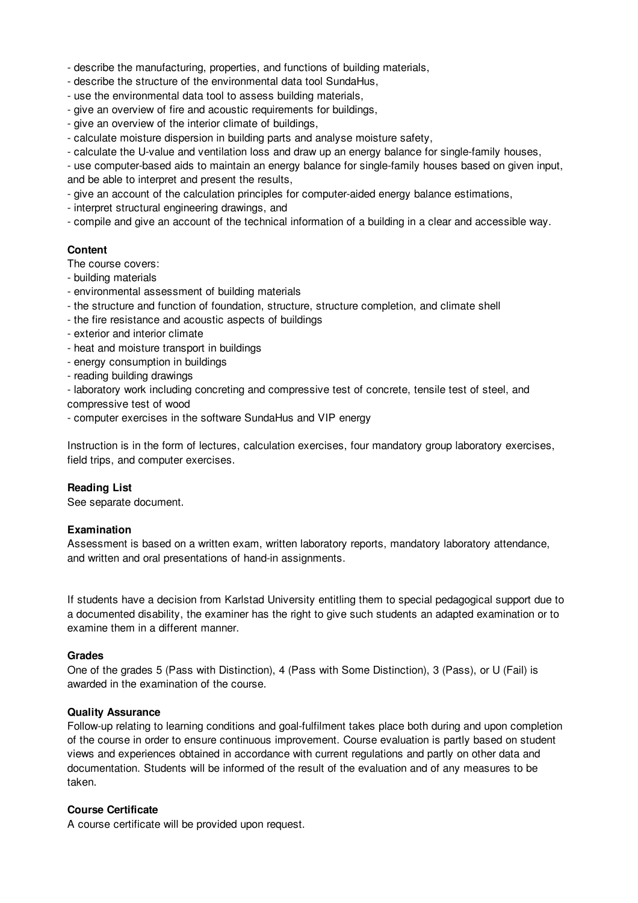- describe the manufacturing, properties, and functions of building materials,

- describe the structure of the environmental data tool SundaHus,
- use the environmental data tool to assess building materials,
- give an overview of fire and acoustic requirements for buildings,
- give an overview of the interior climate of buildings,
- calculate moisture dispersion in building parts and analyse moisture safety,
- calculate the U-value and ventilation loss and draw up an energy balance for single-family houses,

- use computer-based aids to maintain an energy balance for single-family houses based on given input, and be able to interpret and present the results,

- give an account of the calculation principles for computer-aided energy balance estimations,

- interpret structural engineering drawings, and
- compile and give an account of the technical information of a building in a clear and accessible way.

#### **Content**

The course covers:

- building materials
- environmental assessment of building materials
- the structure and function of foundation, structure, structure completion, and climate shell
- the fire resistance and acoustic aspects of buildings
- exterior and interior climate
- heat and moisture transport in buildings
- energy consumption in buildings
- reading building drawings
- laboratory work including concreting and compressive test of concrete, tensile test of steel, and compressive test of wood
- computer exercises in the software SundaHus and VIP energy

Instruction is in the form of lectures, calculation exercises, four mandatory group laboratory exercises, field trips, and computer exercises.

## **Reading List**

See separate document.

#### **Examination**

Assessment is based on a written exam, written laboratory reports, mandatory laboratory attendance, and written and oral presentations of hand-in assignments.

If students have a decision from Karlstad University entitling them to special pedagogical support due to a documented disability, the examiner has the right to give such students an adapted examination or to examine them in a different manner.

#### **Grades**

One of the grades 5 (Pass with Distinction), 4 (Pass with Some Distinction), 3 (Pass), or U (Fail) is awarded in the examination of the course.

#### **Quality Assurance**

Follow-up relating to learning conditions and goal-fulfilment takes place both during and upon completion of the course in order to ensure continuous improvement. Course evaluation is partly based on student views and experiences obtained in accordance with current regulations and partly on other data and documentation. Students will be informed of the result of the evaluation and of any measures to be taken.

## **Course Certificate**

A course certificate will be provided upon request.